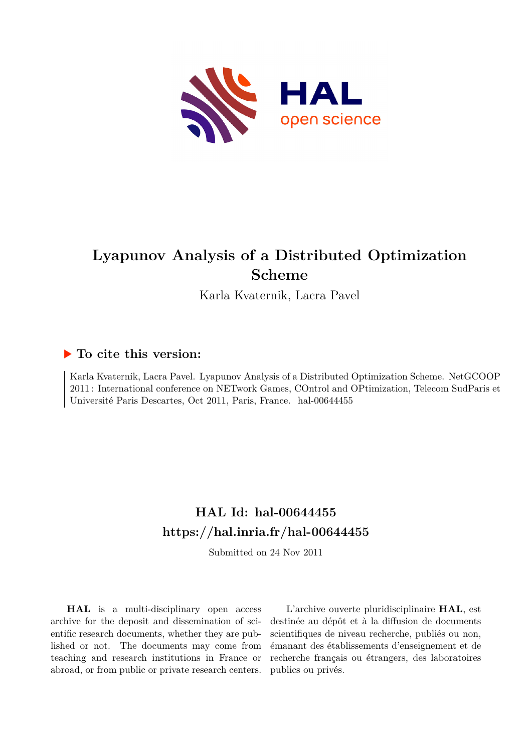

# **Lyapunov Analysis of a Distributed Optimization Scheme**

Karla Kvaternik, Lacra Pavel

## **To cite this version:**

Karla Kvaternik, Lacra Pavel. Lyapunov Analysis of a Distributed Optimization Scheme. NetGCOOP 2011 : International conference on NETwork Games, COntrol and OPtimization, Telecom SudParis et Université Paris Descartes, Oct 2011, Paris, France. hal-00644455

## **HAL Id: hal-00644455 <https://hal.inria.fr/hal-00644455>**

Submitted on 24 Nov 2011

**HAL** is a multi-disciplinary open access archive for the deposit and dissemination of scientific research documents, whether they are published or not. The documents may come from teaching and research institutions in France or abroad, or from public or private research centers.

L'archive ouverte pluridisciplinaire **HAL**, est destinée au dépôt et à la diffusion de documents scientifiques de niveau recherche, publiés ou non, émanant des établissements d'enseignement et de recherche français ou étrangers, des laboratoires publics ou privés.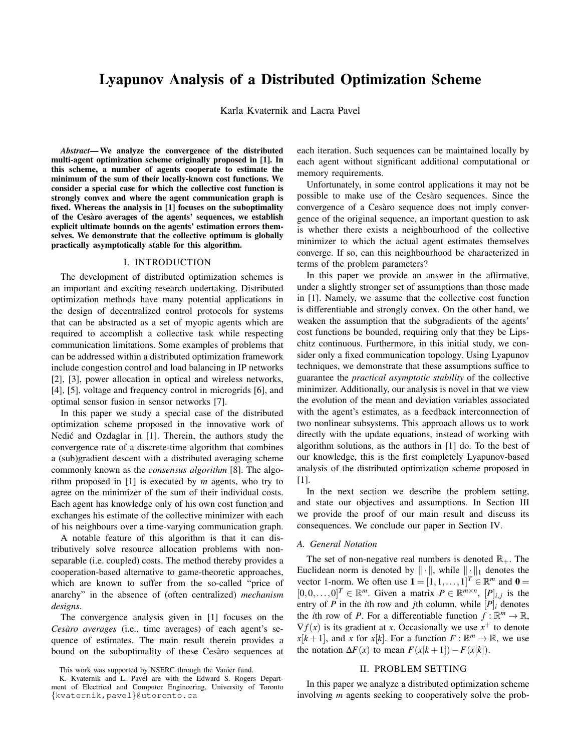## Lyapunov Analysis of a Distributed Optimization Scheme

Karla Kvaternik and Lacra Pavel

*Abstract*— We analyze the convergence of the distributed multi-agent optimization scheme originally proposed in [1]. In this scheme, a number of agents cooperate to estimate the minimum of the sum of their locally-known cost functions. We consider a special case for which the collective cost function is strongly convex and where the agent communication graph is fixed. Whereas the analysis in [1] focuses on the suboptimality of the Cesaro averages of the agents' sequences, we establish ` explicit ultimate bounds on the agents' estimation errors themselves. We demonstrate that the collective optimum is globally practically asymptotically stable for this algorithm.

#### I. INTRODUCTION

The development of distributed optimization schemes is an important and exciting research undertaking. Distributed optimization methods have many potential applications in the design of decentralized control protocols for systems that can be abstracted as a set of myopic agents which are required to accomplish a collective task while respecting communication limitations. Some examples of problems that can be addressed within a distributed optimization framework include congestion control and load balancing in IP networks [2], [3], power allocation in optical and wireless networks, [4], [5], voltage and frequency control in microgrids [6], and optimal sensor fusion in sensor networks [7].

In this paper we study a special case of the distributed optimization scheme proposed in the innovative work of Nedić and Ozdaglar in [1]. Therein, the authors study the convergence rate of a discrete-time algorithm that combines a (sub)gradient descent with a distributed averaging scheme commonly known as the *consensus algorithm* [8]. The algorithm proposed in [1] is executed by *m* agents, who try to agree on the minimizer of the sum of their individual costs. Each agent has knowledge only of his own cost function and exchanges his estimate of the collective minimizer with each of his neighbours over a time-varying communication graph.

A notable feature of this algorithm is that it can distributively solve resource allocation problems with nonseparable (i.e. coupled) costs. The method thereby provides a cooperation-based alternative to game-theoretic approaches, which are known to suffer from the so-called "price of anarchy" in the absence of (often centralized) *mechanism designs*.

The convergence analysis given in [1] focuses on the *Cesàro averages* (*i.e.*, time averages) of each agent's sequence of estimates. The main result therein provides a bound on the suboptimality of these Cesaro sequences at

each iteration. Such sequences can be maintained locally by each agent without significant additional computational or memory requirements.

Unfortunately, in some control applications it may not be possible to make use of the Cesaro sequences. Since the ` convergence of a Cesàro sequence does not imply convergence of the original sequence, an important question to ask is whether there exists a neighbourhood of the collective minimizer to which the actual agent estimates themselves converge. If so, can this neighbourhood be characterized in terms of the problem parameters?

In this paper we provide an answer in the affirmative, under a slightly stronger set of assumptions than those made in [1]. Namely, we assume that the collective cost function is differentiable and strongly convex. On the other hand, we weaken the assumption that the subgradients of the agents' cost functions be bounded, requiring only that they be Lipschitz continuous. Furthermore, in this initial study, we consider only a fixed communication topology. Using Lyapunov techniques, we demonstrate that these assumptions suffice to guarantee the *practical asymptotic stability* of the collective minimizer. Additionally, our analysis is novel in that we view the evolution of the mean and deviation variables associated with the agent's estimates, as a feedback interconnection of two nonlinear subsystems. This approach allows us to work directly with the update equations, instead of working with algorithm solutions, as the authors in [1] do. To the best of our knowledge, this is the first completely Lyapunov-based analysis of the distributed optimization scheme proposed in [1].

In the next section we describe the problem setting, and state our objectives and assumptions. In Section III we provide the proof of our main result and discuss its consequences. We conclude our paper in Section IV.

#### *A. General Notation*

The set of non-negative real numbers is denoted  $\mathbb{R}_+$ . The Euclidean norm is denoted by  $\|\cdot\|$ , while  $\|\cdot\|_1$  denotes the vector 1-norm. We often use  $\mathbf{1} = [1, 1, \dots, 1]^T \in \mathbb{R}^m$  and  $\mathbf{0} =$  $[0,0,\ldots,0]^T \in \mathbb{R}^m$ . Given a matrix  $P \in \mathbb{R}^{m \times n}$ ,  $[P]_{i,j}$  is the entry of *P* in the *i*th row and *j*th column, while  $[P]$ *i* denotes the *i*th row of *P*. For a differentiable function  $f : \mathbb{R}^m \to \mathbb{R}$ ,  $\nabla f(x)$  is its gradient at *x*. Occasionally we use  $x^+$  to denote  $x[k+1]$ , and *x* for *x*[*k*]. For a function  $F : \mathbb{R}^m \to \mathbb{R}$ , we use the notation  $\Delta F(x)$  to mean  $F(x[k+1]) - F(x[k])$ .

#### II. PROBLEM SETTING

In this paper we analyze a distributed optimization scheme involving *m* agents seeking to cooperatively solve the prob-

This work was supported by NSERC through the Vanier fund.

K. Kvaternik and L. Pavel are with the Edward S. Rogers Department of Electrical and Computer Engineering, University of Toronto {kvaternik,pavel}@utoronto.ca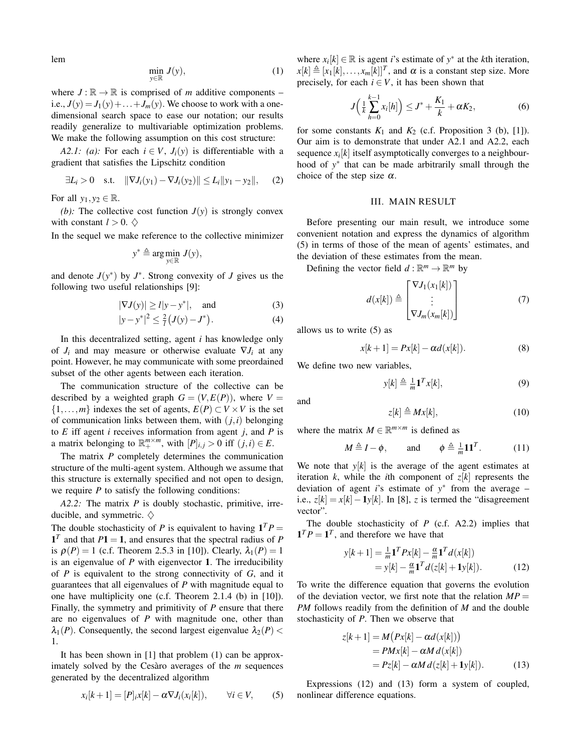lem

$$
\min_{y \in \mathbb{R}} J(y),\tag{1}
$$

where  $J : \mathbb{R} \to \mathbb{R}$  is comprised of *m* additive components – i.e.,  $J(y) = J_1(y) + \ldots + J_m(y)$ . We choose to work with a onedimensional search space to ease our notation; our results readily generalize to multivariable optimization problems. We make the following assumption on this cost structure:

*A2.1: (a):* For each  $i \in V$ ,  $J_i(y)$  is differentiable with a gradient that satisfies the Lipschitz condition

$$
\exists L_i > 0 \quad \text{s.t.} \quad \|\nabla J_i(y_1) - \nabla J_i(y_2)\| \le L_i \|y_1 - y_2\|, \tag{2}
$$

For all  $y_1, y_2 \in \mathbb{R}$ .

*(b)*: The collective cost function  $J(y)$  is strongly convex with constant  $l > 0$ .  $\diamondsuit$ 

In the sequel we make reference to the collective minimizer

$$
y^* \triangleq \arg\min_{y \in \mathbb{R}} J(y),
$$

and denote  $J(y^*)$  by  $J^*$ . Strong convexity of *J* gives us the following two useful relationships [9]:

$$
|\nabla J(y)| \ge l|y - y^*|, \quad \text{and} \tag{3}
$$

$$
|y - y^*|^2 \le \frac{2}{l} (J(y) - J^*).
$$
 (4)

In this decentralized setting, agent *i* has knowledge only of  $J_i$  and may measure or otherwise evaluate  $\nabla J_i$  at any point. However, he may communicate with some preordained subset of the other agents between each iteration.

The communication structure of the collective can be described by a weighted graph  $G = (V, E(P))$ , where  $V =$  $\{1,\ldots,m\}$  indexes the set of agents,  $E(P) \subset V \times V$  is the set of communication links between them, with (*j*,*i*) belonging to *E* iff agent *i* receives information from agent *j*, and *P* is a matrix belonging to  $\mathbb{R}^{m \times m}_{+}$ , with  $[P]_{i,j} > 0$  iff  $(j,i) \in E$ .

The matrix *P* completely determines the communication structure of the multi-agent system. Although we assume that this structure is externally specified and not open to design, we require *P* to satisfy the following conditions:

*A2.2:* The matrix *P* is doubly stochastic, primitive, irreducible, and symmetric.  $\diamondsuit$ 

The double stochasticity of *P* is equivalent to having  $1^T P =$  $1^T$  and that  $P1 = 1$ , and ensures that the spectral radius of P is  $\rho(P) = 1$  (c.f. Theorem 2.5.3 in [10]). Clearly,  $\lambda_1(P) = 1$ is an eigenvalue of *P* with eigenvector 1. The irreducibility of *P* is equivalent to the strong connectivity of *G*, and it guarantees that all eigenvalues of *P* with magnitude equal to one have multiplicity one (c.f. Theorem 2.1.4 (b) in [10]). Finally, the symmetry and primitivity of *P* ensure that there are no eigenvalues of *P* with magnitude one, other than  $\lambda_1(P)$ . Consequently, the second largest eigenvalue  $\lambda_2(P)$ 1.

It has been shown in [1] that problem (1) can be approximately solved by the Cesaro averages of the *m* sequences generated by the decentralized algorithm

$$
x_i[k+1] = [P]_i x[k] - \alpha \nabla J_i(x_i[k]), \qquad \forall i \in V, \qquad (5)
$$

where  $x_i[k] \in \mathbb{R}$  is agent *i*'s estimate of  $y^*$  at the *k*th iteration,  $x[k] \triangleq [x_1[k], \ldots, x_m[k]]^T$ , and  $\alpha$  is a constant step size. More precisely, for each  $i \in V$ , it has been shown that

$$
J\left(\frac{1}{k}\sum_{h=0}^{k-1}x_i[h]\right) \leq J^* + \frac{K_1}{k} + \alpha K_2, \tag{6}
$$

for some constants  $K_1$  and  $K_2$  (c.f. Proposition 3 (b), [1]). Our aim is to demonstrate that under A2.1 and A2.2, each sequence *x<sup>i</sup>* [*k*] itself asymptotically converges to a neighbourhood of *y* ∗ that can be made arbitrarily small through the choice of the step size  $\alpha$ .

#### III. MAIN RESULT

Before presenting our main result, we introduce some convenient notation and express the dynamics of algorithm (5) in terms of those of the mean of agents' estimates, and the deviation of these estimates from the mean.

Defining the vector field  $d : \mathbb{R}^m \to \mathbb{R}^m$  by

$$
d(x[k]) \triangleq \begin{bmatrix} \nabla J_1(x_1[k]) \\ \vdots \\ \nabla J_m(x_m[k]) \end{bmatrix} \tag{7}
$$

allows us to write (5) as

$$
x[k+1] = Px[k] - \alpha d(x[k]). \tag{8}
$$

We define two new variables,

$$
y[k] \triangleq \frac{1}{m} \mathbf{1}^T x[k],\tag{9}
$$

and

$$
z[k] \triangleq Mx[k],\tag{10}
$$

where the matrix  $M \in \mathbb{R}^{m \times m}$  is defined as

$$
M \triangleq I - \phi
$$
, and  $\phi \triangleq \frac{1}{m} \mathbf{1} \mathbf{1}^T$ . (11)

We note that  $y[k]$  is the average of the agent estimates at iteration *k*, while the *i*th component of  $z[k]$  represents the deviation of agent  $i$ 's estimate of  $y^*$  from the average – i.e.,  $z[k] = x[k] - 1y[k]$ . In [8], *z* is termed the "disagreement" vector".

The double stochasticity of *P* (c.f. A2.2) implies that  $\mathbf{1}^T P = \mathbf{1}^T$ , and therefore we have that

$$
y[k+1] = \frac{1}{m}\mathbf{1}^T P x[k] - \frac{\alpha}{m}\mathbf{1}^T d(x[k])
$$
  
= 
$$
y[k] - \frac{\alpha}{m}\mathbf{1}^T d(z[k] + \mathbf{1}y[k]).
$$
 (12)

To write the difference equation that governs the evolution of the deviation vector, we first note that the relation  $MP =$ *PM* follows readily from the definition of *M* and the double stochasticity of *P*. Then we observe that

$$
z[k+1] = M(Px[k] - \alpha d(x[k]))
$$
  
=  $PMx[k] - \alpha M d(x[k])$   
=  $Pz[k] - \alpha M d(z[k] + \mathbf{1}y[k]).$  (13)

Expressions (12) and (13) form a system of coupled, nonlinear difference equations.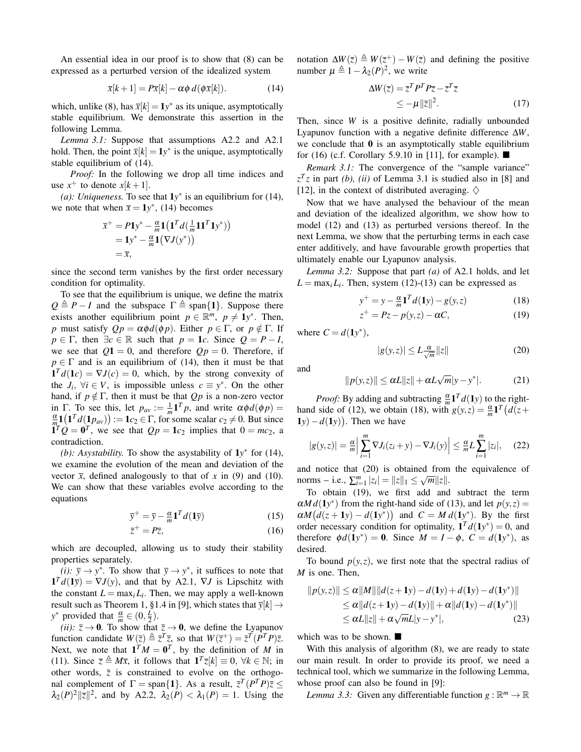An essential idea in our proof is to show that (8) can be expressed as a perturbed version of the idealized system

$$
\overline{x}[k+1] = P\overline{x}[k] - \alpha \phi \, d(\phi \overline{x}[k]). \tag{14}
$$

which, unlike (8), has  $\bar{x}[k] = 1y^*$  as its unique, asymptotically stable equilibrium. We demonstrate this assertion in the following Lemma.

*Lemma 3.1:* Suppose that assumptions A2.2 and A2.1 hold. Then, the point  $\bar{x}[k] = 1y^*$  is the unique, asymptotically stable equilibrium of (14).

*Proof:* In the following we drop all time indices and use  $x^+$  to denote  $x[k+1]$ .

(*a*): Uniqueness. To see that  $1y^*$  is an equilibrium for (14), we note that when  $\bar{x} = 1y^*$ , (14) becomes

$$
\overline{x}^+ = P1y^* - \frac{\alpha}{m}\mathbf{1}\left(\mathbf{1}^T d\left(\frac{1}{m}\mathbf{1}\mathbf{1}^T\mathbf{1}y^*\right)\right)
$$
  
= 
$$
\mathbf{1}y^* - \frac{\alpha}{m}\mathbf{1}\left(\nabla J(y^*)\right)
$$
  
= 
$$
\overline{x},
$$

since the second term vanishes by the first order necessary condition for optimality.

To see that the equilibrium is unique, we define the matrix  $Q \triangleq P - I$  and the subspace  $\Gamma \triangleq$  span $\{1\}$ . Suppose there exists another equilibrium point  $p \in \mathbb{R}^m$ ,  $p \neq 1$ y<sup>\*</sup>. Then, *p* must satisfy  $Qp = \alpha \phi d(\phi p)$ . Either  $p \in \Gamma$ , or  $p \notin \Gamma$ . If  $p \in \Gamma$ , then  $\exists c \in \mathbb{R}$  such that  $p = 1c$ . Since  $Q = P - I$ , we see that  $Q_1 = 0$ , and therefore  $Q_p = 0$ . Therefore, if  $p \in \Gamma$  and is an equilibrium of (14), then it must be that  $\mathbf{1}^T d(\mathbf{1}c) = \nabla J(c) = 0$ , which, by the strong convexity of the  $J_i$ ,  $\forall i \in V$ , is impossible unless  $c \equiv y^*$ . On the other hand, if  $p \notin \Gamma$ , then it must be that  $Qp$  is a non-zero vector in  $\Gamma$ . To see this, let  $p_{av} := \frac{1}{m} \mathbf{1}^T p$ , and write  $\alpha \phi d(\phi p) =$  $\frac{\alpha}{m_r}$ **1**(1<sup>*T*</sup>  $d(\mathbf{1}p_{av})$ ) := 1*c*<sub>2</sub> ∈ Γ, for some scalar *c*<sub>2</sub> ≠ 0. But since  $\mathbf{1}^T Q = \mathbf{0}^T$ , we see that  $Qp = \mathbf{1}c_2$  implies that  $0 = mc_2$ , a contradiction.

(b): Asystability. To show the asystability of  $1y^*$  for (14), we examine the evolution of the mean and deviation of the vector  $\bar{x}$ , defined analogously to that of *x* in (9) and (10). We can show that these variables evolve according to the equations

$$
\bar{y}^+ = \bar{y} - \frac{\alpha}{m} \mathbf{1}^T d(\mathbf{1}\bar{y}) \tag{15}
$$

$$
\overline{z}^+ = P\overline{z},\tag{16}
$$

which are decoupled, allowing us to study their stability properties separately.

*(i):*  $\bar{y} \rightarrow y^*$ . To show that  $\bar{y} \rightarrow y^*$ , it suffices to note that  $\mathbf{1}^T d(\mathbf{1}\bar{y}) = \nabla J(y)$ , and that by A2.1,  $\nabla J$  is Lipschitz with the constant  $L = \max_i L_i$ . Then, we may apply a well-known result such as Theorem 1, §1.4 in [9], which states that  $\bar{y}[k] \rightarrow$ *y*<sup>\*</sup> provided that  $\frac{\alpha}{m} \in (0, \frac{L}{2})$ .

*(ii):*  $\bar{z} \rightarrow 0$ . To show that  $\bar{z} \rightarrow 0$ , we define the Lyapunov function candidate  $W(\overline{z}) \triangleq \overline{z}^T \overline{z}$ , so that  $W(\overline{z}^+) = \overline{z}^T (P^T P) \overline{z}$ . Next, we note that  $\mathbf{1}^T M = \mathbf{0}^T$ , by the definition of *M* in (11). Since  $\bar{z} \triangleq M\bar{x}$ , it follows that  $\mathbf{1}^T \bar{z}[k] \equiv 0$ ,  $\forall k \in \mathbb{N}$ ; in other words,  $\overline{z}$  is constrained to evolve on the orthogonal complement of  $\Gamma = \text{span}\{1\}$ . As a result,  $\bar{z}^T(P^T P)\bar{z} \leq$  $\lambda_2(P)^2 \|\bar{z}\|^2$ , and by A2.2,  $\lambda_2(P) < \lambda_1(P) = 1$ . Using the

notation  $\Delta W(\bar{z}) \triangleq W(\bar{z}^+) - W(\bar{z})$  and defining the positive number  $\mu \triangleq 1 - \lambda_2(P)^2$ , we write

$$
\Delta W(\overline{z}) = \overline{z}^T P^T P \overline{z} - \overline{z}^T \overline{z}
$$
  
\n
$$
\leq -\mu ||\overline{z}||^2.
$$
 (17)

Then, since *W* is a positive definite, radially unbounded Lyapunov function with a negative definite difference ∆*W*, we conclude that  $\bf{0}$  is an asymptotically stable equilibrium for (16) (c.f. Corollary 5.9.10 in [11], for example).  $\blacksquare$ 

*Remark 3.1:* The convergence of the "sample variance"  $z^T z$  in part *(b), (ii)* of Lemma 3.1 is studied also in [8] and [12], in the context of distributed averaging.  $\diamond$ 

Now that we have analysed the behaviour of the mean and deviation of the idealized algorithm, we show how to model (12) and (13) as perturbed versions thereof. In the next Lemma, we show that the perturbing terms in each case enter additively, and have favourable growth properties that ultimately enable our Lyapunov analysis.

*Lemma 3.2:* Suppose that part *(a)* of A2.1 holds, and let  $L = \max_i L_i$ . Then, system (12)-(13) can be expressed as

$$
y^{+} = y - \frac{\alpha}{m} \mathbf{1}^{T} d(\mathbf{1}y) - g(y, z)
$$
 (18)

$$
z^+ = Pz - p(y, z) - \alpha C, \qquad (19)
$$

where  $C = d(1y^*),$ 

$$
|g(y,z)| \le L \frac{\alpha}{\sqrt{m}} ||z|| \tag{20}
$$

and

$$
||p(y, z)|| \le \alpha L ||z|| + \alpha L \sqrt{m} |y - y^*|.
$$
 (21)

*Proof:* By adding and subtracting  $\frac{\alpha}{m} \mathbf{1}^T d(\mathbf{1}y)$  to the righthand side of (12), we obtain (18), with  $g(y, z) = \frac{\alpha}{m} \mathbf{1}^T (d(z +$  $1y$ ) −  $d(1y)$ ). Then we have

$$
|g(y,z)| = \frac{\alpha}{m} \Big| \sum_{i=1}^{m} \nabla J_i(z_i + y) - \nabla J_i(y) \Big| \leq \frac{\alpha}{m} L \sum_{i=1}^{m} |z_i|, \quad (22)
$$

and notice that (20) is obtained from the equivalence of norms – i.e.,  $\sum_{i=1}^{m} |z_i| = ||z||_1 \le \sqrt{m} ||z||$ .

To obtain (19), we first add and subtract the term  $\alpha M d(1y^*)$  from the right-hand side of (13), and let  $p(y, z) =$  $\alpha M(d(z + 1y) - d(1y^*))$  and  $C = M d(1y^*)$ . By the first order necessary condition for optimality,  $\mathbf{1}^T d(\mathbf{1}y^*) = 0$ , and therefore  $\phi d(\mathbf{1}y^*) = \mathbf{0}$ . Since  $M = I - \phi$ ,  $C = d(\mathbf{1}y^*)$ , as desired.

To bound  $p(y, z)$ , we first note that the spectral radius of *M* is one. Then,

$$
||p(y,z)|| \le \alpha ||M|| ||d(z+1y) - d(1y) + d(1y) - d(1y^*)||
$$
  
\n
$$
\le \alpha ||d(z+1y) - d(1y)|| + \alpha ||d(1y) - d(1y^*)||
$$
  
\n
$$
\le \alpha L ||z|| + \alpha \sqrt{m}L|y - y^*|,
$$
\n(23)

which was to be shown.

With this analysis of algorithm  $(8)$ , we are ready to state our main result. In order to provide its proof, we need a technical tool, which we summarize in the following Lemma, whose proof can also be found in [9]:

*Lemma 3.3:* Given any differentiable function  $g : \mathbb{R}^m \to \mathbb{R}$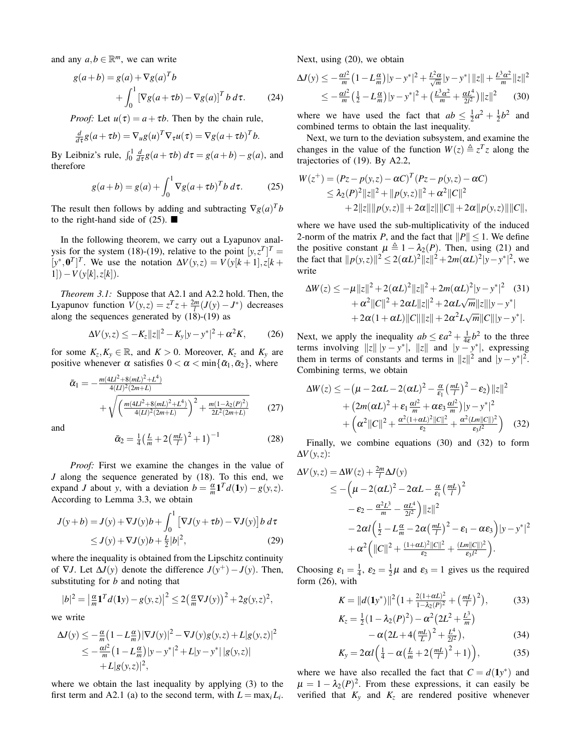and any  $a, b \in \mathbb{R}^m$ , we can write

$$
g(a+b) = g(a) + \nabla g(a)^T b
$$
  
+ 
$$
\int_0^1 \left[\nabla g(a+\tau b) - \nabla g(a)\right]^T b \, d\tau.
$$
 (24)

*Proof:* Let  $u(\tau) = a + \tau b$ . Then by the chain rule,

$$
\frac{d}{d\tau}g(a+\tau b) = \nabla_u g(u)^T \nabla_{\tau} u(\tau) = \nabla g(a+\tau b)^T b.
$$

By Leibniz's rule,  $\int_0^1 \frac{d}{d\tau} g(a + \tau b) d\tau = g(a+b) - g(a)$ , and therefore

$$
g(a+b) = g(a) + \int_0^1 \nabla g(a+\tau b)^T b \, d\tau.
$$
 (25)

The result then follows by adding and subtracting  $\nabla g(a)^T b$ to the right-hand side of  $(25)$ .

In the following theorem, we carry out a Lyapunov analysis for the system (18)-(19), relative to the point  $[y, z^T]^T$  =  $[y^*, \mathbf{0}^T]^T$ . We use the notation  $\Delta V(y, z) = V(y[k+1], z[k+1])$  $1$ ]) − *V*(*y*[ $k$ ], *z*[ $k$ ]).

*Theorem 3.1:* Suppose that A2.1 and A2.2 hold. Then, the Lyapunov function  $V(y, z) = z^T z + \frac{2m}{l}(J(y) - J^*)$  decreases along the sequences generated by  $(18)-(19)$  as

$$
\Delta V(y, z) \le -K_z ||z||^2 - K_y |y - y^*|^2 + \alpha^2 K, \qquad (26)
$$

for some  $K_z, K_y \in \mathbb{R}$ , and  $K > 0$ . Moreover,  $K_z$  and  $K_y$  are positive whenever  $\alpha$  satisfies  $0 < \alpha < \min\{\bar{\alpha}_1, \bar{\alpha}_2\}$ , where

$$
\bar{\alpha}_1 = -\frac{m(4Ll^2 + 8(mL)^2 + L^4)}{4(Ll)^2(2m+L)} + \sqrt{\left(\frac{m(4Ll^2 + 8(mL)^2 + L^4)}{4(Ll)^2(2m+L)}\right)^2 + \frac{m(1-\lambda_2(P)^2)}{2L^2(2m+L)}}\tag{27}
$$

and

$$
\bar{\alpha}_2 = \frac{1}{4} \left( \frac{L}{m} + 2 \left( \frac{mL}{l} \right)^2 + 1 \right)^{-1} \tag{28}
$$

*Proof:* First we examine the changes in the value of *J* along the sequence generated by (18). To this end, we expand *J* about *y*, with a deviation  $b = \frac{a}{m} \mathbf{1}^T d(\mathbf{1}y) - g(y, z)$ . According to Lemma 3.3, we obtain

$$
J(y+b) = J(y) + \nabla J(y)b + \int_0^1 \left[ \nabla J(y + \tau b) - \nabla J(y) \right] b \, d\tau
$$
  
\n
$$
\leq J(y) + \nabla J(y)b + \frac{L}{2} |b|^2, \tag{29}
$$

where the inequality is obtained from the Lipschitz continuity of  $\nabla J$ . Let  $\Delta J(y)$  denote the difference  $J(y^+)-J(y)$ . Then, substituting for *b* and noting that

$$
|b|^2 = \left|\frac{\alpha}{m}\mathbf{1}^T d(\mathbf{1}y) - g(y,z)\right|^2 \le 2\left(\frac{\alpha}{m}\nabla J(y)\right)^2 + 2g(y,z)^2,
$$

we write

$$
\Delta J(y) \leq -\frac{\alpha}{m} \left( 1 - L_m^{\alpha} \right) |\nabla J(y)|^2 - \nabla J(y) g(y, z) + L |g(y, z)|^2
$$
  
\n
$$
\leq -\frac{\alpha l^2}{m} \left( 1 - L_m^{\alpha} \right) |y - y^*|^2 + L |y - y^*| |g(y, z)|
$$
  
\n
$$
+ L |g(y, z)|^2,
$$

where we obtain the last inequality by applying (3) to the first term and A2.1 (a) to the second term, with  $L = \max_i L_i$ .

Next, using (20), we obtain

$$
\Delta J(y) \le -\frac{\alpha l^2}{m} \left( 1 - L\frac{\alpha}{m} \right) |y - y^*|^2 + \frac{L^2 \alpha}{\sqrt{m}} |y - y^*| \|z\| + \frac{L^3 \alpha^2}{m} \|z\|^2
$$
  

$$
\le -\frac{\alpha l^2}{m} \left( \frac{1}{2} - L\frac{\alpha}{m} \right) |y - y^*|^2 + \left( \frac{L^3 \alpha^2}{m} + \frac{\alpha L^4}{2l^2} \right) \|z\|^2 \tag{30}
$$

where we have used the fact that  $ab \leq \frac{1}{2}a^2 + \frac{1}{2}b^2$  and combined terms to obtain the last inequality.

Next, we turn to the deviation subsystem, and examine the changes in the value of the function  $W(z) \triangleq z^T z$  along the trajectories of (19). By A2.2,

$$
W(z^{+}) = (Pz - p(y, z) - \alpha C)^{T} (Pz - p(y, z) - \alpha C)
$$
  
\n
$$
\leq \lambda_2 (P)^{2} ||z||^{2} + ||p(y, z)||^{2} + \alpha^{2} ||C||^{2}
$$
  
\n
$$
+ 2||z|| ||p(y, z)|| + 2\alpha ||z|| ||C|| + 2\alpha ||p(y, z)|| ||C||,
$$

where we have used the sub-multiplicativity of the induced 2-norm of the matrix *P*, and the fact that  $||P|| \le 1$ . We define the positive constant  $\mu \triangleq 1 - \lambda_2(P)$ . Then, using (21) and the fact that  $||p(y, z)||^2 \le 2(\alpha L)^2 ||z||^2 + 2m(\alpha L)^2 |y - y^*|^2$ , we write

$$
\Delta W(z) \leq -\mu ||z||^2 + 2(\alpha L)^2 ||z||^2 + 2m(\alpha L)^2 |y - y^*|^2 \quad (31) + \alpha^2 ||C||^2 + 2\alpha L ||z||^2 + 2\alpha L \sqrt{m} ||z|| |y - y^*| + 2\alpha (1 + \alpha L) ||C|| ||z|| + 2\alpha^2 L \sqrt{m} ||C|| |y - y^*|.
$$

Next, we apply the inequality  $ab \le \varepsilon a^2 + \frac{1}{4\varepsilon} b^2$  to the three terms involving  $||z|| |y - y^*|$ ,  $||z||$  and  $|y - y^*|$ , expressing them in terms of constants and terms in  $||z||^2$  and  $|y-y^*|^2$ . Combining terms, we obtain

$$
\Delta W(z) \leq -(\mu - 2\alpha L - 2(\alpha L)^2 - \frac{\alpha}{\epsilon_1} \left(\frac{mL}{l}\right)^2 - \epsilon_2) ||z||^2
$$
  
+ 
$$
\left(2m(\alpha L)^2 + \epsilon_1 \frac{\alpha l^2}{m} + \alpha \epsilon_3 \frac{\alpha l^2}{m}\right) |y - y^*|^2
$$
  
+ 
$$
\left(\alpha^2 ||C||^2 + \frac{\alpha^2 (1 + \alpha L)^2 ||C||^2}{\epsilon_2} + \frac{\alpha^2 (Lm||C||)^2}{\epsilon_3 l^2}\right)
$$
(32)

Finally, we combine equations (30) and (32) to form  $\Delta V(y, z)$ :

$$
\Delta V(y,z) = \Delta W(z) + \frac{2m}{l} \Delta J(y)
$$
  
\n
$$
\leq -(\mu - 2(\alpha L)^2 - 2\alpha L - \frac{\alpha}{\epsilon_1} (\frac{mL}{l})^2
$$
  
\n
$$
-\epsilon_2 - \frac{\alpha^2 L^3}{m} - \frac{\alpha L^4}{2l^2}) ||z||^2
$$
  
\n
$$
-2\alpha l (\frac{1}{2} - L\frac{\alpha}{m} - 2\alpha (\frac{mL}{l})^2 - \epsilon_1 - \alpha \epsilon_3) |y - y^*|^2
$$
  
\n
$$
+ \alpha^2 (||C||^2 + \frac{(1+\alpha L)^2 ||C||^2}{\epsilon_2} + \frac{(Lm||C||)^2}{\epsilon_3 l^2}).
$$

Choosing  $\varepsilon_1 = \frac{1}{4}$ ,  $\varepsilon_2 = \frac{1}{2}\mu$  and  $\varepsilon_3 = 1$  gives us the required form (26), with

$$
K = ||d(\mathbf{1}y^*)||^2 \left(1 + \frac{2(1+\alpha L)^2}{1-\lambda_2(P)^2} + \left(\frac{mL}{l}\right)^2\right),
$$
(33)  

$$
K_z = \frac{1}{2}(1-\lambda_2(P)^2) - \alpha^2(2L^2 + \frac{L^3}{2})
$$

$$
= \frac{1}{2}(1 - \lambda_2(P)^2) - \alpha^2(2L^2 + \frac{L^3}{m}) - \alpha(2L + 4(\frac{mL}{L})^2 + \frac{L^4}{2l^2}),
$$
\n(34)

$$
K_{y} = 2\alpha l \left( \frac{1}{4} - \alpha \left( \frac{L}{m} + 2 \left( \frac{mL}{l} \right)^{2} + 1 \right) \right), \tag{35}
$$

where we have also recalled the fact that  $C = d(1y^*)$  and  $\mu = 1 - \lambda_2(P)^2$ . From these expressions, it can easily be verified that  $K_y$  and  $K_z$  are rendered positive whenever